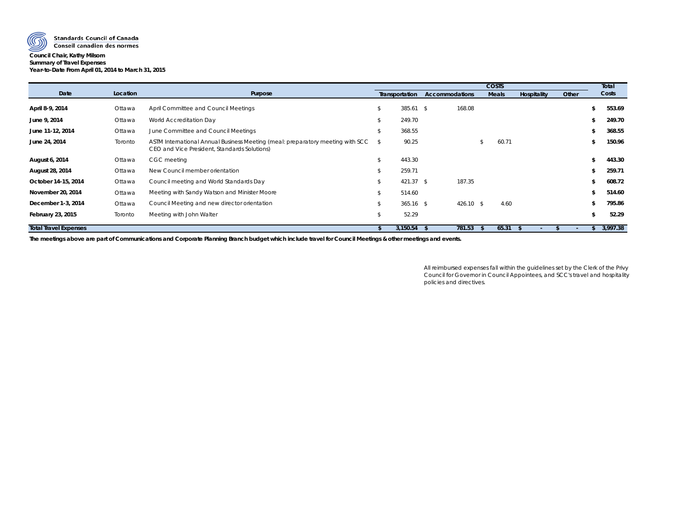

**Standards Council of Canada** 

## Conseil canadien des normes **Council Chair, Kathy Milsom Summary of Travel Expenses Year-to-Date From April 01, 2014 to March 31, 2015**

|                              |          |                                                                                                                                |      |                |                       |              | Total       |       |   |          |
|------------------------------|----------|--------------------------------------------------------------------------------------------------------------------------------|------|----------------|-----------------------|--------------|-------------|-------|---|----------|
| Date                         | Location | Purpose                                                                                                                        |      | Transportation | <b>Accommodations</b> | <b>Meals</b> | Hospitality | Other |   | Costs    |
| April 8-9, 2014              | Ottawa   | April Committee and Council Meetings                                                                                           | \$   | $385.61$ \$    | 168.08                |              |             |       |   | 553.69   |
| June 9, 2014                 | Ottawa   | World Accreditation Day                                                                                                        |      | 249.70         |                       |              |             |       |   | 249.70   |
| June 11-12, 2014             | Ottawa   | June Committee and Council Meetings                                                                                            | \$   | 368.55         |                       |              |             |       |   | 368.55   |
| June 24, 2014                | Toronto  | ASTM International Annual Business Meeting (meal: preparatory meeting with SCC<br>CEO and Vice President, Standards Solutions) | - \$ | 90.25          |                       | 60.71        |             |       |   | 150.96   |
| August 6, 2014               | Ottawa   | CGC meeting                                                                                                                    |      | 443.30         |                       |              |             |       |   | 443.30   |
| August 28, 2014              | Ottawa   | New Council member orientation                                                                                                 | \$   | 259.71         |                       |              |             |       |   | 259.71   |
| October 14-15, 2014          | Ottawa   | Council meeting and World Standards Day                                                                                        |      | $421.37$ \$    | 187.35                |              |             |       |   | 608.72   |
| November 20, 2014            | Ottawa   | Meeting with Sandy Watson and Minister Moore                                                                                   |      | 514.60         |                       |              |             |       |   | 514.60   |
| December 1-3, 2014           | Ottawa   | Council Meeting and new director orientation                                                                                   |      | $365.16$ \$    | $426.10$ \$           |              | 4.60        |       |   | 795.86   |
| February 23, 2015            | Toronto  | Meeting with John Walter                                                                                                       | \$   | 52.29          |                       |              |             |       | S | 52.29    |
| <b>Total Travel Expenses</b> |          |                                                                                                                                |      | 3,150.54       | 781.53                | 65.31        |             | ٠     |   | 3,997.38 |

**The meetings above are part of Communications and Corporate Planning Branch budget which include travel for Council Meetings & other meetings and events.**

All reimbursed expenses fall within the guidelines set by the Clerk of the Privy Council for Governor in Council Appointees, and SCC's travel and hospitality policies and directives.